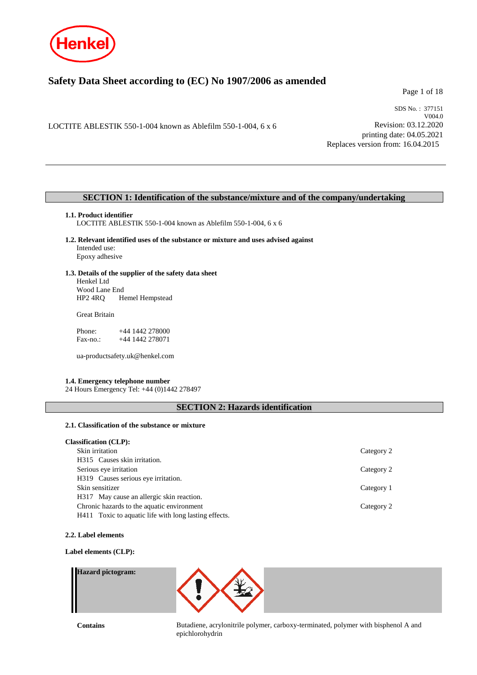

# **Safety Data Sheet according to (EC) No 1907/2006 as amended**

Page 1 of 18

LOCTITE ABLESTIK 550-1-004 known as Ablefilm 550-1-004, 6 x 6

SDS No. : 377151 V004.0 Revision: 03.12.2020 printing date: 04.05.2021 Replaces version from: 16.04.2015

## **SECTION 1: Identification of the substance/mixture and of the company/undertaking**

### **1.1. Product identifier**

LOCTITE ABLESTIK 550-1-004 known as Ablefilm 550-1-004, 6 x 6

**1.2. Relevant identified uses of the substance or mixture and uses advised against** Intended use: Epoxy adhesive

## **1.3. Details of the supplier of the safety data sheet** Henkel Ltd

Wood Lane End<br>HP2 4RQ H Hemel Hempstead

Great Britain

Phone: +44 1442 278000<br>Fax-no.: +44 1442 278071 +44 1442 278071

ua-productsafety.uk@henkel.com

## **1.4. Emergency telephone number**

24 Hours Emergency Tel: +44 (0)1442 278497

## **SECTION 2: Hazards identification**

## **2.1. Classification of the substance or mixture**

| <b>Classification (CLP):</b>                          |            |
|-------------------------------------------------------|------------|
| Skin irritation                                       | Category 2 |
| H315 Causes skin irritation.                          |            |
| Serious eye irritation                                | Category 2 |
| H319 Causes serious eye irritation.                   |            |
| Skin sensitizer                                       | Category 1 |
| H317 May cause an allergic skin reaction.             |            |
| Chronic hazards to the aquatic environment            | Category 2 |
| H411 Toxic to aquatic life with long lasting effects. |            |

#### **2.2. Label elements**

### **Label elements (CLP):**

## **Hazard pictogram:**



**Contains** Butadiene, acrylonitrile polymer, carboxy-terminated, polymer with bisphenol A and epichlorohydrin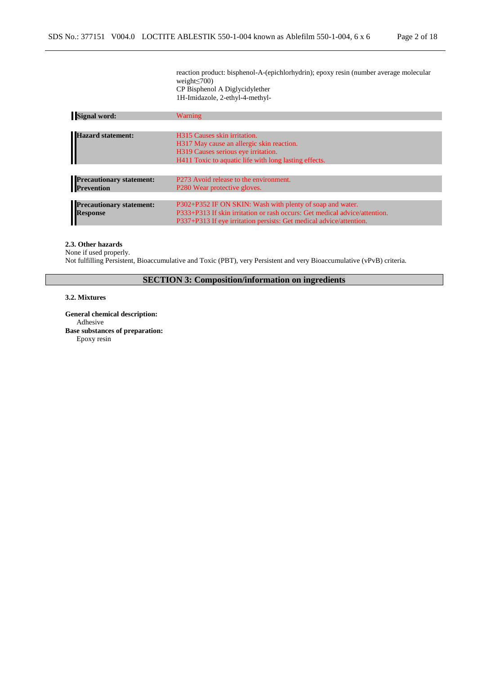reaction product: bisphenol-A-(epichlorhydrin); epoxy resin (number average molecular weight≤700) CP Bisphenol A Diglycidylether 1H-Imidazole, 2-ethyl-4-methyl-

| <b>Signal word:</b>             | Warning                                                                    |
|---------------------------------|----------------------------------------------------------------------------|
|                                 |                                                                            |
| <b>Hazard statement:</b>        | H315 Causes skin irritation.                                               |
|                                 | H317 May cause an allergic skin reaction.                                  |
|                                 | H319 Causes serious eye irritation.                                        |
|                                 | H411 Toxic to aquatic life with long lasting effects.                      |
|                                 |                                                                            |
| <b>Precautionary statement:</b> | P273 Avoid release to the environment.                                     |
| <b>Prevention</b>               | P <sub>280</sub> Wear protective gloves.                                   |
|                                 |                                                                            |
| <b>Precautionary statement:</b> | P302+P352 IF ON SKIN: Wash with plenty of soap and water.                  |
| <b>Response</b>                 | P333+P313 If skin irritation or rash occurs: Get medical advice/attention. |
|                                 | P337+P313 If eye irritation persists: Get medical advice/attention.        |

### **2.3. Other hazards**

None if used properly.

Not fulfilling Persistent, Bioaccumulative and Toxic (PBT), very Persistent and very Bioaccumulative (vPvB) criteria.

**SECTION 3: Composition/information on ingredients**

### **3.2. Mixtures**

**General chemical description:** Adhesive **Base substances of preparation:** Epoxy resin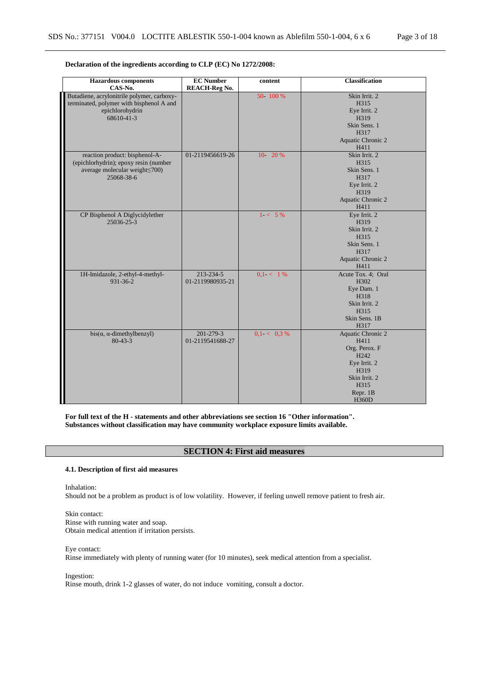| <b>Hazardous</b> components                | <b>EC Number</b>     | content       | <b>Classification</b> |
|--------------------------------------------|----------------------|---------------|-----------------------|
| CAS-No.                                    | <b>REACH-Reg No.</b> |               |                       |
| Butadiene, acrylonitrile polymer, carboxy- |                      | 50 - 100 %    | Skin Irrit. 2         |
| terminated, polymer with bisphenol A and   |                      |               | H315                  |
| epichlorohydrin                            |                      |               | Eye Irrit. 2          |
| 68610-41-3                                 |                      |               | H319                  |
|                                            |                      |               | Skin Sens. 1          |
|                                            |                      |               | H317                  |
|                                            |                      |               | Aquatic Chronic 2     |
|                                            |                      |               | H411                  |
| reaction product: bisphenol-A-             | 01-2119456619-26     | 10 20 %       | Skin Irrit. 2         |
| (epichlorhydrin); epoxy resin (number      |                      |               | H315                  |
| average molecular weight <a></a>           |                      |               | Skin Sens. 1          |
| 25068-38-6                                 |                      |               | H317                  |
|                                            |                      |               | Eye Irrit. 2          |
|                                            |                      |               | H319                  |
|                                            |                      |               | Aquatic Chronic 2     |
|                                            |                      |               | H411                  |
| CP Bisphenol A Diglycidylether             |                      | $1 - 5\%$     | Eye Irrit. 2          |
| 25036-25-3                                 |                      |               | H319                  |
|                                            |                      |               | Skin Irrit. 2         |
|                                            |                      |               | H315                  |
|                                            |                      |               | Skin Sens. 1          |
|                                            |                      |               | H317                  |
|                                            |                      |               | Aquatic Chronic 2     |
|                                            |                      |               | H411                  |
| 1H-Imidazole, 2-ethyl-4-methyl-            | 213-234-5            | $0.1 < 1\%$   | Acute Tox. 4; Oral    |
| 931-36-2                                   | 01-2119980935-21     |               | H302                  |
|                                            |                      |               | Eye Dam. 1            |
|                                            |                      |               | H318                  |
|                                            |                      |               | Skin Irrit. 2         |
|                                            |                      |               | H315                  |
|                                            |                      |               | Skin Sens. 1B         |
|                                            |                      |               | H317                  |
| $bis(\alpha, \alpha$ -dimethylbenzyl)      | 201-279-3            | $0.1 < 0.3\%$ | Aquatic Chronic 2     |
| $80 - 43 - 3$                              | 01-2119541688-27     |               | H411                  |
|                                            |                      |               | Org. Perox. F         |
|                                            |                      |               | H <sub>242</sub>      |
|                                            |                      |               | Eye Irrit. 2          |
|                                            |                      |               | H319                  |
|                                            |                      |               | Skin Irrit. 2         |
|                                            |                      |               | H315                  |
|                                            |                      |               | Repr. 1B              |
|                                            |                      |               | H360D                 |

## **Declaration of the ingredients according to CLP (EC) No 1272/2008:**

**For full text of the H - statements and other abbreviations see section 16 "Other information". Substances without classification may have community workplace exposure limits available.**

## **SECTION 4: First aid measures**

## **4.1. Description of first aid measures**

Inhalation:

Should not be a problem as product is of low volatility. However, if feeling unwell remove patient to fresh air.

Skin contact: Rinse with running water and soap. Obtain medical attention if irritation persists.

#### Eye contact:

Rinse immediately with plenty of running water (for 10 minutes), seek medical attention from a specialist.

Ingestion:

Rinse mouth, drink 1-2 glasses of water, do not induce vomiting, consult a doctor.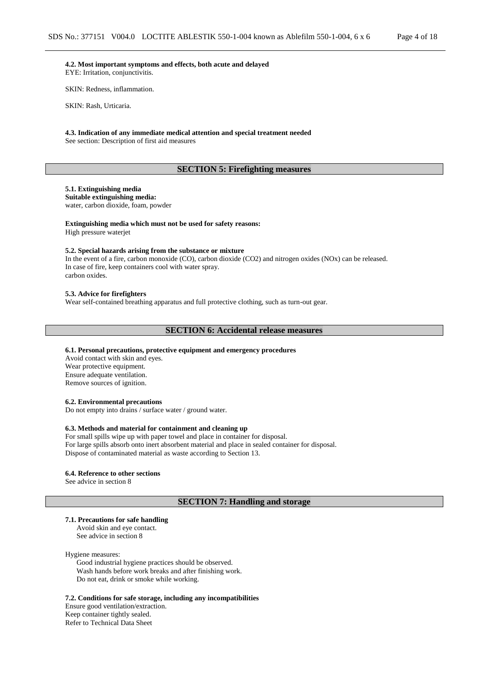**4.2. Most important symptoms and effects, both acute and delayed** EYE: Irritation, conjunctivitis.

SKIN: Redness, inflammation.

SKIN: Rash, Urticaria.

**4.3. Indication of any immediate medical attention and special treatment needed** See section: Description of first aid measures

## **SECTION 5: Firefighting measures**

## **5.1. Extinguishing media**

**Suitable extinguishing media:** water, carbon dioxide, foam, powder

## **Extinguishing media which must not be used for safety reasons:**

High pressure waterjet

### **5.2. Special hazards arising from the substance or mixture**

In the event of a fire, carbon monoxide (CO), carbon dioxide (CO2) and nitrogen oxides (NOx) can be released. In case of fire, keep containers cool with water spray. carbon oxides.

#### **5.3. Advice for firefighters**

Wear self-contained breathing apparatus and full protective clothing, such as turn-out gear.

#### **SECTION 6: Accidental release measures**

#### **6.1. Personal precautions, protective equipment and emergency procedures**

Avoid contact with skin and eyes. Wear protective equipment. Ensure adequate ventilation. Remove sources of ignition.

#### **6.2. Environmental precautions**

Do not empty into drains / surface water / ground water.

#### **6.3. Methods and material for containment and cleaning up**

For small spills wipe up with paper towel and place in container for disposal. For large spills absorb onto inert absorbent material and place in sealed container for disposal. Dispose of contaminated material as waste according to Section 13.

#### **6.4. Reference to other sections**

See advice in section 8

### **SECTION 7: Handling and storage**

#### **7.1. Precautions for safe handling**

Avoid skin and eye contact. See advice in section 8

#### Hygiene measures:

Good industrial hygiene practices should be observed. Wash hands before work breaks and after finishing work. Do not eat, drink or smoke while working.

**7.2. Conditions for safe storage, including any incompatibilities** Ensure good ventilation/extraction. Keep container tightly sealed. Refer to Technical Data Sheet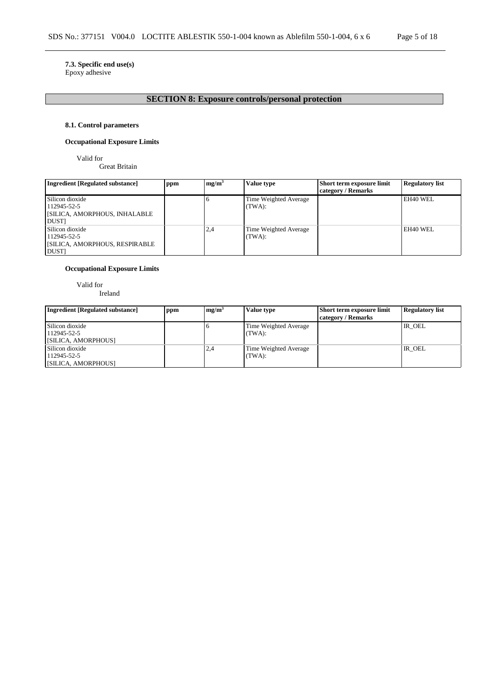## **7.3. Specific end use(s)**

Epoxy adhesive

# **SECTION 8: Exposure controls/personal protection**

## **8.1. Control parameters**

## **Occupational Exposure Limits**

Valid for

Great Britain

| Ingredient [Regulated substance]     | ppm | mg/m <sup>3</sup> | Value type            | Short term exposure limit | <b>Regulatory list</b> |
|--------------------------------------|-----|-------------------|-----------------------|---------------------------|------------------------|
|                                      |     |                   |                       | category / Remarks        |                        |
| Silicon dioxide                      |     |                   | Time Weighted Average |                           | EH40 WEL               |
| 112945-52-5                          |     |                   | (TWA):                |                           |                        |
| <b>SILICA, AMORPHOUS, INHALABLE</b>  |     |                   |                       |                           |                        |
| <b>DUST</b>                          |     |                   |                       |                           |                        |
| Silicon dioxide                      |     | 2,4               | Time Weighted Average |                           | EH40 WEL               |
| 112945-52-5                          |     |                   | (TWA):                |                           |                        |
| <b>SILICA, AMORPHOUS, RESPIRABLE</b> |     |                   |                       |                           |                        |
| <b>DUST</b>                          |     |                   |                       |                           |                        |

## **Occupational Exposure Limits**

Valid for

Ireland

| <b>Ingredient [Regulated substance]</b>               | ppm | mg/m <sup>3</sup> | Value type                      | <b>Short term exposure limit</b><br>category / Remarks | <b>Regulatory list</b> |
|-------------------------------------------------------|-----|-------------------|---------------------------------|--------------------------------------------------------|------------------------|
| Silicon dioxide<br>112945-52-5<br>[SILICA, AMORPHOUS] |     |                   | Time Weighted Average<br>(TWA): |                                                        | IR_OEL                 |
| Silicon dioxide<br>112945-52-5<br>[SILICA, AMORPHOUS] |     | 2.4               | Time Weighted Average<br>(TWA): |                                                        | IR OEL                 |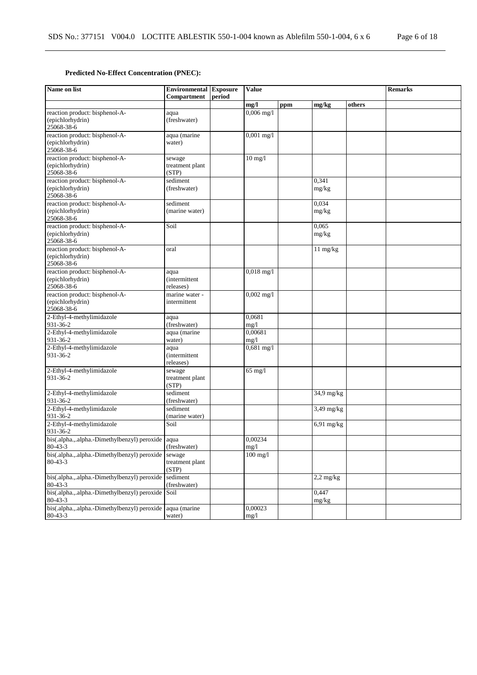## **Predicted No-Effect Concentration (PNEC):**

| Name on list                                                       | <b>Environmental Exposure</b><br><b>Value</b><br>Compartment<br>period |  |                 |     | <b>Remarks</b>                |        |  |
|--------------------------------------------------------------------|------------------------------------------------------------------------|--|-----------------|-----|-------------------------------|--------|--|
|                                                                    |                                                                        |  | mg/l            | ppm | mg/kg                         | others |  |
| reaction product: bisphenol-A-<br>(epichlorhydrin)<br>25068-38-6   | aqua<br>(freshwater)                                                   |  | $0,006$ mg/l    |     |                               |        |  |
| reaction product: bisphenol-A-<br>(epichlorhydrin)<br>25068-38-6   | aqua (marine<br>water)                                                 |  | $0,001$ mg/l    |     |                               |        |  |
| reaction product: bisphenol-A-<br>(epichlorhydrin)<br>25068-38-6   | sewage<br>treatment plant<br>(STP)                                     |  | $10$ mg/l       |     |                               |        |  |
| reaction product: bisphenol-A-<br>(epichlorhydrin)<br>25068-38-6   | sediment<br>(freshwater)                                               |  |                 |     | 0.341<br>mg/kg                |        |  |
| reaction product: bisphenol-A-<br>(epichlorhydrin)<br>25068-38-6   | sediment<br>(marine water)                                             |  |                 |     | 0,034<br>mg/kg                |        |  |
| reaction product: bisphenol-A-<br>(epichlorhydrin)<br>25068-38-6   | Soil                                                                   |  |                 |     | 0,065<br>mg/kg                |        |  |
| reaction product: bisphenol-A-<br>(epichlorhydrin)<br>25068-38-6   | oral                                                                   |  |                 |     | $\overline{11 \text{ mg/kg}}$ |        |  |
| reaction product: bisphenol-A-<br>(epichlorhydrin)<br>25068-38-6   | aqua<br><i>(intermittent)</i><br>releases)                             |  | $0,018$ mg/l    |     |                               |        |  |
| reaction product: bisphenol-A-<br>(epichlorhydrin)<br>25068-38-6   | marine water -<br>intermittent                                         |  | $0,002$ mg/l    |     |                               |        |  |
| 2-Ethyl-4-methylimidazole<br>931-36-2                              | aqua<br>(freshwater)                                                   |  | 0,0681<br>mg/1  |     |                               |        |  |
| 2-Ethyl-4-methylimidazole<br>931-36-2                              | aqua (marine<br>water)                                                 |  | 0,00681<br>mg/1 |     |                               |        |  |
| 2-Ethyl-4-methylimidazole<br>931-36-2                              | aqua<br><i>(intermittent)</i><br>releases)                             |  | $0,681$ mg/l    |     |                               |        |  |
| 2-Ethyl-4-methylimidazole<br>931-36-2                              | sewage<br>treatment plant<br>(STP)                                     |  | $65$ mg/l       |     |                               |        |  |
| 2-Ethyl-4-methylimidazole<br>931-36-2                              | sediment<br>(freshwater)                                               |  |                 |     | 34,9 mg/kg                    |        |  |
| 2-Ethyl-4-methylimidazole<br>931-36-2                              | sediment<br>(marine water)                                             |  |                 |     | $3,49$ mg/kg                  |        |  |
| 2-Ethyl-4-methylimidazole<br>931-36-2                              | Soil                                                                   |  |                 |     | $6,91$ mg/kg                  |        |  |
| bis(.alpha.,.alpha.-Dimethylbenzyl) peroxide aqua<br>$80 - 43 - 3$ | (freshwater)                                                           |  | 0,00234<br>mg/1 |     |                               |        |  |
| bis(.alpha.,.alpha.-Dimethylbenzyl) peroxide<br>$80 - 43 - 3$      | sewage<br>treatment plant<br>(STP)                                     |  | $100$ mg/l      |     |                               |        |  |
| bis(.alpha.,.alpha.-Dimethylbenzyl) peroxide<br>$80 - 43 - 3$      | sediment<br>(freshwater)                                               |  |                 |     | $2,2$ mg/kg                   |        |  |
| bis(.alpha.,.alpha.-Dimethylbenzyl) peroxide<br>$80 - 43 - 3$      | Soil                                                                   |  |                 |     | 0,447<br>mg/kg                |        |  |
| bis(.alpha.,.alpha.-Dimethylbenzyl) peroxide<br>$80 - 43 - 3$      | aqua (marine<br>water)                                                 |  | 0,00023<br>mg/1 |     |                               |        |  |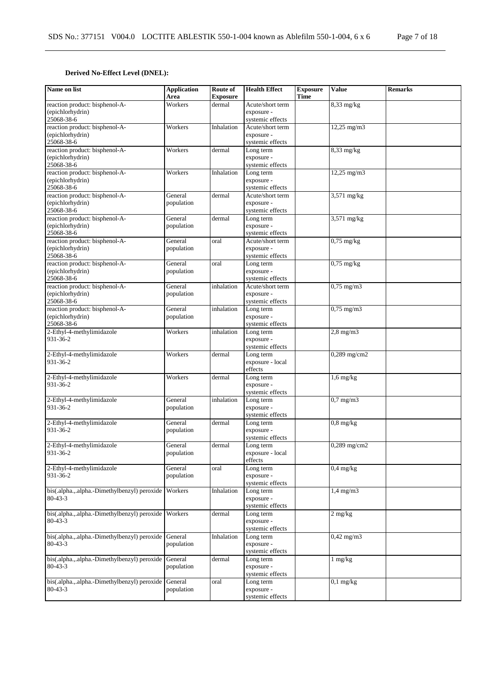## **Derived No-Effect Level (DNEL):**

| Name on list                                         | <b>Application</b><br>Area | Route of<br><b>Exposure</b> | <b>Health Effect</b>           | <b>Exposure</b><br><b>Time</b> | <b>Value</b>          | <b>Remarks</b> |
|------------------------------------------------------|----------------------------|-----------------------------|--------------------------------|--------------------------------|-----------------------|----------------|
| reaction product: bisphenol-A-                       | Workers                    | dermal                      | Acute/short term               |                                | $8,33$ mg/kg          |                |
| (epichlorhydrin)                                     |                            |                             | exposure -                     |                                |                       |                |
| 25068-38-6                                           |                            |                             | systemic effects               |                                |                       |                |
| reaction product: bisphenol-A-                       | Workers                    | Inhalation                  | Acute/short term               |                                | $12,25$ mg/m $3$      |                |
| (epichlorhydrin)                                     |                            |                             | exposure -                     |                                |                       |                |
| 25068-38-6                                           |                            |                             | systemic effects               |                                |                       |                |
| reaction product: bisphenol-A-                       | Workers                    | dermal                      | Long term                      |                                | $8,33$ mg/kg          |                |
| (epichlorhydrin)                                     |                            |                             | exposure -                     |                                |                       |                |
| 25068-38-6                                           |                            |                             | systemic effects               |                                |                       |                |
| reaction product: bisphenol-A-                       | Workers                    | Inhalation                  | Long term                      |                                | 12,25 mg/m3           |                |
| (epichlorhydrin)                                     |                            |                             | exposure -                     |                                |                       |                |
| 25068-38-6                                           |                            |                             | systemic effects               |                                |                       |                |
| reaction product: bisphenol-A-                       | General                    | dermal                      | Acute/short term               |                                | 3,571 mg/kg           |                |
| (epichlorhydrin)                                     | population                 |                             | exposure -                     |                                |                       |                |
| 25068-38-6                                           |                            |                             | systemic effects               |                                |                       |                |
| reaction product: bisphenol-A-                       | General                    | dermal                      | Long term                      |                                | 3,571 mg/kg           |                |
| (epichlorhydrin)                                     | population                 |                             | exposure -                     |                                |                       |                |
| 25068-38-6                                           | General                    | oral                        | systemic effects               |                                |                       |                |
| reaction product: bisphenol-A-<br>(epichlorhydrin)   |                            |                             | Acute/short term<br>exposure - |                                | $0,75$ mg/kg          |                |
| 25068-38-6                                           | population                 |                             | systemic effects               |                                |                       |                |
| reaction product: bisphenol-A-                       | General                    | oral                        | Long term                      |                                | $0,75$ mg/kg          |                |
| (epichlorhydrin)                                     | population                 |                             | exposure -                     |                                |                       |                |
| 25068-38-6                                           |                            |                             | systemic effects               |                                |                       |                |
| reaction product: bisphenol-A-                       | General                    | inhalation                  | Acute/short term               |                                | $0,75$ mg/m $3$       |                |
| (epichlorhydrin)                                     | population                 |                             | exposure -                     |                                |                       |                |
| 25068-38-6                                           |                            |                             | systemic effects               |                                |                       |                |
| reaction product: bisphenol-A-                       | General                    | inhalation                  | Long term                      |                                | $0,75 \text{ mg/m}$ 3 |                |
| (epichlorhydrin)                                     | population                 |                             | exposure -                     |                                |                       |                |
| 25068-38-6                                           |                            |                             | systemic effects               |                                |                       |                |
| 2-Ethyl-4-methylimidazole                            | Workers                    | inhalation                  | Long term                      |                                | $2,8$ mg/m $3$        |                |
| 931-36-2                                             |                            |                             | exposure -                     |                                |                       |                |
|                                                      |                            |                             | systemic effects               |                                |                       |                |
| 2-Ethyl-4-methylimidazole                            | Workers                    | dermal                      | Long term                      |                                | $0,289$ mg/cm2        |                |
| 931-36-2                                             |                            |                             | exposure - local               |                                |                       |                |
|                                                      |                            |                             | effects                        |                                |                       |                |
| 2-Ethyl-4-methylimidazole                            | Workers                    | dermal                      | Long term                      |                                | $1,6$ mg/kg           |                |
| 931-36-2                                             |                            |                             | exposure -                     |                                |                       |                |
|                                                      |                            |                             | systemic effects               |                                |                       |                |
| 2-Ethyl-4-methylimidazole<br>931-36-2                | General                    | inhalation                  | Long term                      |                                | $0.7$ mg/m $3$        |                |
|                                                      | population                 |                             | exposure -<br>systemic effects |                                |                       |                |
| 2-Ethyl-4-methylimidazole                            | General                    | dermal                      | Long term                      |                                | $0.8$ mg/kg           |                |
| 931-36-2                                             | population                 |                             | exposure -                     |                                |                       |                |
|                                                      |                            |                             | systemic effects               |                                |                       |                |
| 2-Ethyl-4-methylimidazole                            | General                    | dermal                      | Long term                      |                                | $0,289$ mg/cm2        |                |
| 931-36-2                                             | population                 |                             | exposure - local               |                                |                       |                |
|                                                      |                            |                             | effects                        |                                |                       |                |
| 2-Ethyl-4-methylimidazole                            | General                    | oral                        | Long term                      |                                | $0.4$ mg/kg           |                |
| 931-36-2                                             | population                 |                             | exposure -                     |                                |                       |                |
|                                                      |                            |                             | systemic effects               |                                |                       |                |
| bis(.alpha.,.alpha.-Dimethylbenzyl) peroxide         | Workers                    | Inhalation                  | Long term                      |                                | $1,4$ mg/m $3$        |                |
| $80 - 43 - 3$                                        |                            |                             | exposure -                     |                                |                       |                |
|                                                      |                            |                             | systemic effects               |                                |                       |                |
| bis(.alpha.,.alpha.-Dimethylbenzyl) peroxide Workers |                            | dermal                      | Long term                      |                                | $2 \text{ mg/kg}$     |                |
| $80 - 43 - 3$                                        |                            |                             | exposure -                     |                                |                       |                |
|                                                      |                            |                             | systemic effects               |                                |                       |                |
| bis(.alpha.,.alpha.-Dimethylbenzyl) peroxide         | General                    | Inhalation                  | Long term                      |                                | $0,42$ mg/m $3$       |                |
| $80 - 43 - 3$                                        | population                 |                             | exposure -<br>systemic effects |                                |                       |                |
| bis(.alpha.,.alpha.-Dimethylbenzyl) peroxide         | General                    | dermal                      | Long term                      |                                | $1$ mg/ $kg$          |                |
| $80 - 43 - 3$                                        | population                 |                             | exposure -                     |                                |                       |                |
|                                                      |                            |                             | systemic effects               |                                |                       |                |
| bis(.alpha.,.alpha.-Dimethylbenzyl) peroxide         | General                    | oral                        | Long term                      |                                | $0,1$ mg/kg           |                |
| $80 - 43 - 3$                                        | population                 |                             | exposure -                     |                                |                       |                |
|                                                      |                            |                             | systemic effects               |                                |                       |                |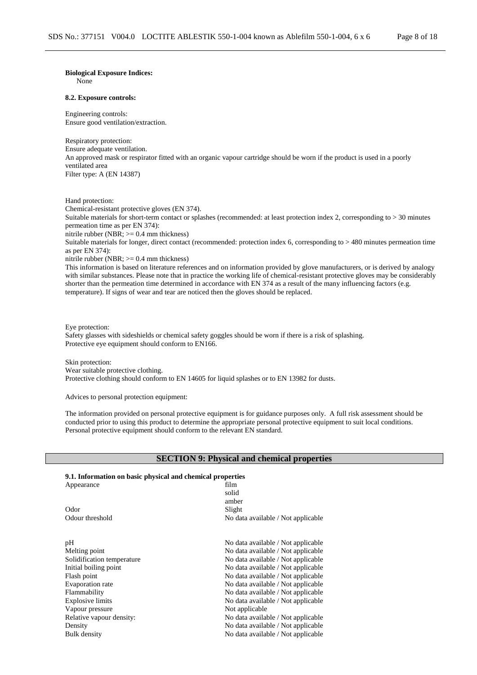## **Biological Exposure Indices:**

None

#### **8.2. Exposure controls:**

Engineering controls: Ensure good ventilation/extraction.

Respiratory protection: Ensure adequate ventilation. An approved mask or respirator fitted with an organic vapour cartridge should be worn if the product is used in a poorly ventilated area Filter type: A (EN 14387)

Hand protection:

Chemical-resistant protective gloves (EN 374).

Suitable materials for short-term contact or splashes (recommended: at least protection index 2, corresponding to > 30 minutes permeation time as per EN 374):

nitrile rubber (NBR;  $>= 0.4$  mm thickness)

Suitable materials for longer, direct contact (recommended: protection index 6, corresponding to > 480 minutes permeation time as per EN 374):

nitrile rubber (NBR; >= 0.4 mm thickness)

This information is based on literature references and on information provided by glove manufacturers, or is derived by analogy with similar substances. Please note that in practice the working life of chemical-resistant protective gloves may be considerably shorter than the permeation time determined in accordance with EN 374 as a result of the many influencing factors (e.g. temperature). If signs of wear and tear are noticed then the gloves should be replaced.

#### Eye protection:

Safety glasses with sideshields or chemical safety goggles should be worn if there is a risk of splashing. Protective eye equipment should conform to EN166.

Skin protection: Wear suitable protective clothing. Protective clothing should conform to EN 14605 for liquid splashes or to EN 13982 for dusts.

Advices to personal protection equipment:

The information provided on personal protective equipment is for guidance purposes only. A full risk assessment should be conducted prior to using this product to determine the appropriate personal protective equipment to suit local conditions. Personal protective equipment should conform to the relevant EN standard.

### **SECTION 9: Physical and chemical properties**

#### **9.1. Information on basic physical and chemical properties**

| Appearance                 | film                               |
|----------------------------|------------------------------------|
|                            | solid                              |
|                            | amber                              |
| Odor                       | Slight                             |
| Odour threshold            | No data available / Not applicable |
| pН                         | No data available / Not applicable |
| Melting point              | No data available / Not applicable |
| Solidification temperature | No data available / Not applicable |
| Initial boiling point      | No data available / Not applicable |
| Flash point                | No data available / Not applicable |
| <b>Evaporation</b> rate    | No data available / Not applicable |
| Flammability               | No data available / Not applicable |
| Explosive limits           | No data available / Not applicable |
| Vapour pressure            | Not applicable                     |
| Relative vapour density:   | No data available / Not applicable |
| Density                    | No data available / Not applicable |
| Bulk density               | No data available / Not applicable |
|                            |                                    |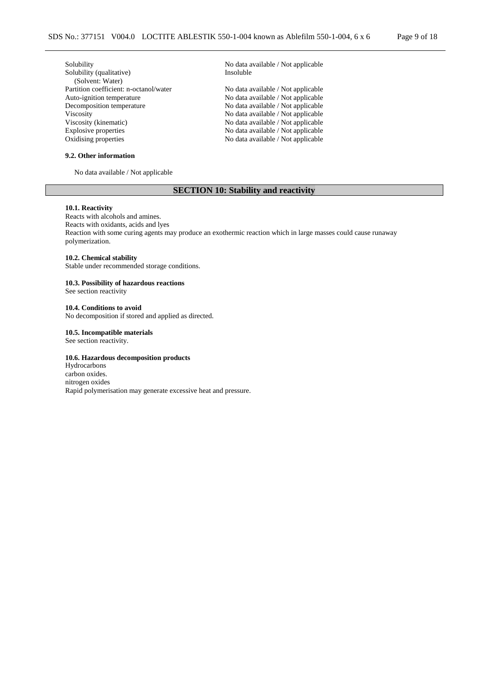| Solubility                             | No data available / Not applicable |
|----------------------------------------|------------------------------------|
| Solubility (qualitative)               | Insoluble                          |
| (Solvent: Water)                       |                                    |
| Partition coefficient: n-octanol/water | No data available / Not applicable |
| Auto-ignition temperature              | No data available / Not applicable |
| Decomposition temperature              | No data available / Not applicable |
| <b>Viscosity</b>                       | No data available / Not applicable |
| Viscosity (kinematic)                  | No data available / Not applicable |
| Explosive properties                   | No data available / Not applicable |
| Oxidising properties                   | No data available / Not applicable |
|                                        |                                    |

## **9.2. Other information**

No data available / Not applicable

## **SECTION 10: Stability and reactivity**

### **10.1. Reactivity**

Reacts with alcohols and amines. Reacts with oxidants, acids and lyes Reaction with some curing agents may produce an exothermic reaction which in large masses could cause runaway polymerization.

### **10.2. Chemical stability**

Stable under recommended storage conditions.

#### **10.3. Possibility of hazardous reactions** See section reactivity

**10.4. Conditions to avoid**

No decomposition if stored and applied as directed.

#### **10.5. Incompatible materials**

See section reactivity.

### **10.6. Hazardous decomposition products**

Hydrocarbons carbon oxides. nitrogen oxides Rapid polymerisation may generate excessive heat and pressure.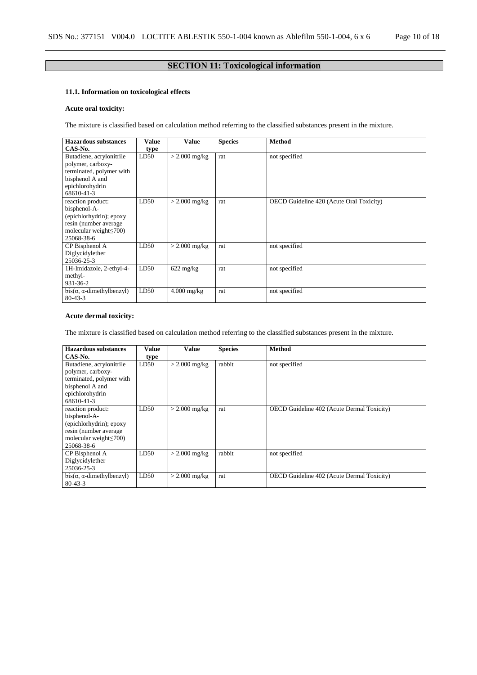# **SECTION 11: Toxicological information**

## **11.1. Information on toxicological effects**

## **Acute oral toxicity:**

The mixture is classified based on calculation method referring to the classified substances present in the mixture.

| <b>Hazardous substances</b><br>CAS-No.                                                                                              | Value<br>type | <b>Value</b>        | <b>Species</b> | <b>Method</b>                                   |
|-------------------------------------------------------------------------------------------------------------------------------------|---------------|---------------------|----------------|-------------------------------------------------|
| Butadiene, acrylonitrile<br>polymer, carboxy-<br>terminated, polymer with<br>bisphenol A and<br>epichlorohydrin<br>68610-41-3       | LD50          | $> 2.000$ mg/kg     | rat            | not specified                                   |
| reaction product:<br>bisphenol-A-<br>(epichlorhydrin); epoxy<br>resin (number average<br>molecular weight $\leq$ 700)<br>25068-38-6 | LD50          | $>$ 2.000 mg/kg     | rat            | <b>OECD</b> Guideline 420 (Acute Oral Toxicity) |
| CP Bisphenol A<br>Diglycidylether<br>25036-25-3                                                                                     | LD50          | $>$ 2.000 mg/kg     | rat            | not specified                                   |
| 1H-Imidazole, 2-ethyl-4-<br>methyl-<br>931-36-2                                                                                     | LD50          | $622 \text{ mg/kg}$ | rat            | not specified                                   |
| $bis(\alpha, \alpha$ -dimethylbenzyl)<br>$80 - 43 - 3$                                                                              | LD50          | $4.000$ mg/kg       | rat            | not specified                                   |

## **Acute dermal toxicity:**

The mixture is classified based on calculation method referring to the classified substances present in the mixture.

| <b>Hazardous substances</b><br>CAS-No.                                                                                               | Value<br>type | Value           | <b>Species</b> | <b>Method</b>                                     |
|--------------------------------------------------------------------------------------------------------------------------------------|---------------|-----------------|----------------|---------------------------------------------------|
| Butadiene, acrylonitrile<br>polymer, carboxy-<br>terminated, polymer with<br>bisphenol A and<br>epichlorohydrin<br>68610-41-3        | LD50          | $>$ 2.000 mg/kg | rabbit         | not specified                                     |
| reaction product:<br>bisphenol-A-<br>(epichlorhydrin); epoxy<br>resin (number average<br>molecular weight $\leq 700$ )<br>25068-38-6 | LD50          | $> 2.000$ mg/kg | rat            | <b>OECD</b> Guideline 402 (Acute Dermal Toxicity) |
| CP Bisphenol A<br>Diglycidylether<br>25036-25-3                                                                                      | LD50          | $> 2.000$ mg/kg | rabbit         | not specified                                     |
| $bis(\alpha, \alpha$ -dimethylbenzyl)<br>$80 - 43 - 3$                                                                               | LD50          | $>$ 2.000 mg/kg | rat            | OECD Guideline 402 (Acute Dermal Toxicity)        |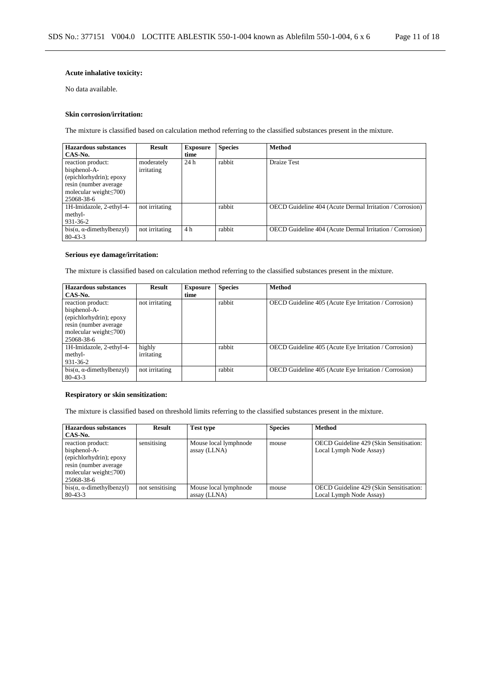## **Acute inhalative toxicity:**

No data available.

### **Skin corrosion/irritation:**

The mixture is classified based on calculation method referring to the classified substances present in the mixture.

| <b>Hazardous substances</b>                                                                                                          | <b>Result</b>            | <b>Exposure</b> | <b>Species</b> | <b>Method</b>                                            |
|--------------------------------------------------------------------------------------------------------------------------------------|--------------------------|-----------------|----------------|----------------------------------------------------------|
| CAS-No.                                                                                                                              |                          | time            |                |                                                          |
| reaction product:<br>bisphenol-A-<br>(epichlorhydrin); epoxy<br>resin (number average)<br>molecular weight $\leq$ 700)<br>25068-38-6 | moderately<br>irritating | 24 h            | rabbit         | Draize Test                                              |
| 1H-Imidazole, 2-ethyl-4-<br>methyl-<br>931-36-2                                                                                      | not irritating           |                 | rabbit         | OECD Guideline 404 (Acute Dermal Irritation / Corrosion) |
| $bis(\alpha, \alpha$ -dimethylbenzyl)<br>$80 - 43 - 3$                                                                               | not irritating           | 4 h             | rabbit         | OECD Guideline 404 (Acute Dermal Irritation / Corrosion) |

## **Serious eye damage/irritation:**

The mixture is classified based on calculation method referring to the classified substances present in the mixture.

| <b>Hazardous substances</b>                                                                                                           | <b>Result</b>        | <b>Exposure</b> | <b>Species</b> | <b>Method</b>                                                |
|---------------------------------------------------------------------------------------------------------------------------------------|----------------------|-----------------|----------------|--------------------------------------------------------------|
| CAS-No.                                                                                                                               |                      | time            |                |                                                              |
| reaction product:<br>bisphenol-A-<br>(epichlorhydrin); epoxy<br>resin (number average)<br>molecular weight $\leq 700$ )<br>25068-38-6 | not irritating       |                 | rabbit         | <b>OECD</b> Guideline 405 (Acute Eye Irritation / Corrosion) |
| 1H-Imidazole, 2-ethyl-4-<br>methyl-<br>931-36-2                                                                                       | highly<br>irritating |                 | rabbit         | OECD Guideline 405 (Acute Eye Irritation / Corrosion)        |
| $bis(\alpha, \alpha$ -dimethylbenzyl)<br>$80 - 43 - 3$                                                                                | not irritating       |                 | rabbit         | <b>OECD</b> Guideline 405 (Acute Eye Irritation / Corrosion) |

## **Respiratory or skin sensitization:**

The mixture is classified based on threshold limits referring to the classified substances present in the mixture.

| Hazardous substances                  | <b>Result</b>   | <b>Test type</b>      | <b>Species</b> | <b>Method</b>                           |
|---------------------------------------|-----------------|-----------------------|----------------|-----------------------------------------|
| CAS-No.                               |                 |                       |                |                                         |
| reaction product:                     | sensitising     | Mouse local lymphnode | mouse          | OECD Guideline 429 (Skin Sensitisation: |
| bisphenol-A-                          |                 | assay (LLNA)          |                | Local Lymph Node Assay)                 |
| (epichlorhydrin); epoxy               |                 |                       |                |                                         |
| resin (number average)                |                 |                       |                |                                         |
| molecular weight $\leq 700$ )         |                 |                       |                |                                         |
| 25068-38-6                            |                 |                       |                |                                         |
| $bis(\alpha, \alpha$ -dimethylbenzyl) | not sensitising | Mouse local lymphnode | mouse          | OECD Guideline 429 (Skin Sensitisation: |
| $80 - 43 - 3$                         |                 | assay (LLNA)          |                | Local Lymph Node Assay)                 |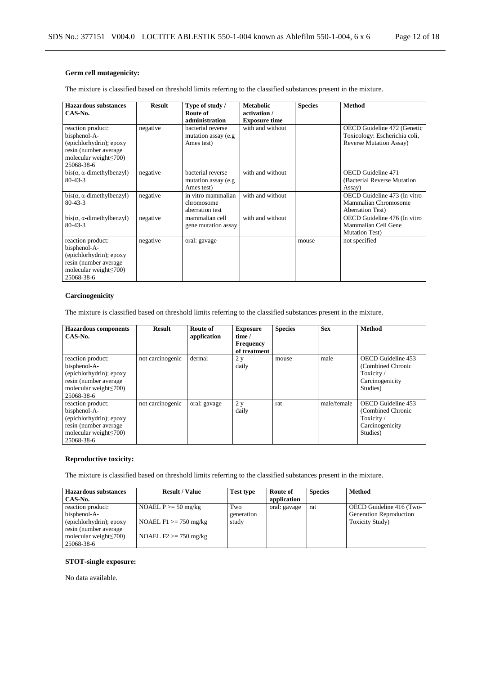## **Germ cell mutagenicity:**

The mixture is classified based on threshold limits referring to the classified substances present in the mixture.

| Hazardous substances<br>CAS-No.                                                                                                      | <b>Result</b> | Type of study /<br>Route of<br>administration           | <b>Metabolic</b><br>activation /<br><b>Exposure time</b> | <b>Species</b> | <b>Method</b>                                                                                   |
|--------------------------------------------------------------------------------------------------------------------------------------|---------------|---------------------------------------------------------|----------------------------------------------------------|----------------|-------------------------------------------------------------------------------------------------|
| reaction product:<br>bisphenol-A-<br>(epichlorhydrin); epoxy<br>resin (number average<br>molecular weight $\leq$ 700)<br>25068-38-6  | negative      | bacterial reverse<br>mutation assay (e.g<br>Ames test)  | with and without                                         |                | OECD Guideline 472 (Genetic<br>Toxicology: Escherichia coli,<br><b>Reverse Mutation Assay</b> ) |
| $bis(\alpha, \alpha$ -dimethylbenzyl)<br>$80 - 43 - 3$                                                                               | negative      | bacterial reverse<br>mutation assay (e.g.<br>Ames test) | with and without                                         |                | <b>OECD</b> Guideline 471<br>(Bacterial Reverse Mutation)<br>Assay)                             |
| $bis(\alpha, \alpha$ -dimethylbenzyl)<br>$80 - 43 - 3$                                                                               | negative      | in vitro mammalian<br>chromosome<br>aberration test     | with and without                                         |                | OECD Guideline 473 (In vitro<br>Mammalian Chromosome<br><b>Aberration Test</b> )                |
| $bis(\alpha, \alpha$ -dimethylbenzyl)<br>$80 - 43 - 3$                                                                               | negative      | mammalian cell<br>gene mutation assay                   | with and without                                         |                | OECD Guideline 476 (In vitro<br>Mammalian Cell Gene<br><b>Mutation Test)</b>                    |
| reaction product:<br>bisphenol-A-<br>(epichlorhydrin); epoxy<br>resin (number average<br>molecular weight $\leq 700$ )<br>25068-38-6 | negative      | oral: gavage                                            |                                                          | mouse          | not specified                                                                                   |

## **Carcinogenicity**

The mixture is classified based on threshold limits referring to the classified substances present in the mixture.

| <b>Hazardous components</b><br>$CAS-N0$ .                                                                                             | <b>Result</b>    | Route of<br>application | <b>Exposure</b><br>time /<br><b>Frequency</b><br>of treatment | <b>Species</b> | <b>Sex</b>  | <b>Method</b>                                                                       |
|---------------------------------------------------------------------------------------------------------------------------------------|------------------|-------------------------|---------------------------------------------------------------|----------------|-------------|-------------------------------------------------------------------------------------|
| reaction product:<br>bisphenol-A-<br>(epichlorhydrin); epoxy<br>resin (number average)<br>molecular weight $\leq 700$ )<br>25068-38-6 | not carcinogenic | dermal                  | 2y<br>daily                                                   | mouse          | male        | OECD Guideline 453<br>(Combined Chronic<br>Toxicity/<br>Carcinogenicity<br>Studies) |
| reaction product:<br>bisphenol-A-<br>(epichlorhydrin); epoxy<br>resin (number average)<br>molecular weight $\leq$ 700)<br>25068-38-6  | not carcinogenic | oral: gavage            | 2y<br>daily                                                   | rat            | male/female | OECD Guideline 453<br>(Combined Chronic<br>Toxicity/<br>Carcinogenicity<br>Studies) |

### **Reproductive toxicity:**

The mixture is classified based on threshold limits referring to the classified substances present in the mixture.

| <b>Hazardous substances</b><br>CAS-No.                                                                                                | <b>Result / Value</b>                                                          | Test type                  | Route of<br>application | <b>Species</b> | Method                                                                                |
|---------------------------------------------------------------------------------------------------------------------------------------|--------------------------------------------------------------------------------|----------------------------|-------------------------|----------------|---------------------------------------------------------------------------------------|
| reaction product:<br>bisphenol-A-<br>(epichlorhydrin); epoxy<br>resin (number average)<br>molecular weight $\leq 700$ )<br>25068-38-6 | NOAEL $P \ge 50$ mg/kg<br>NOAEL $F1 \ge 750$ mg/kg<br>NOAEL $F2 \ge 750$ mg/kg | Two<br>generation<br>study | oral: gavage            | rat            | OECD Guideline 416 (Two-<br><b>Generation Reproduction</b><br><b>Toxicity Study</b> ) |

## **STOT-single exposure:**

No data available.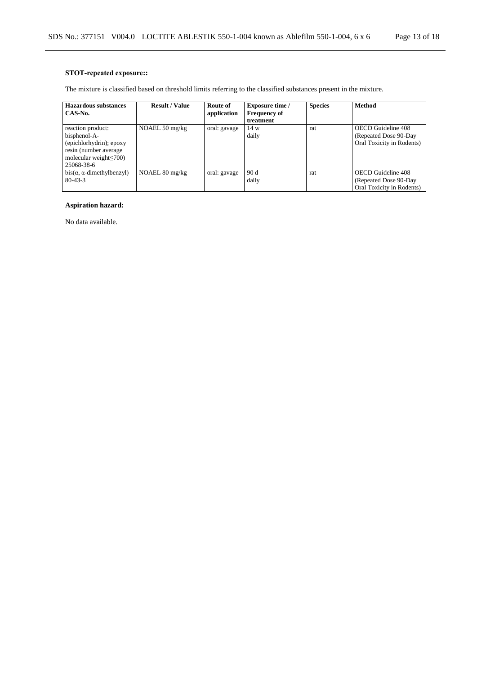## **STOT-repeated exposure::**

The mixture is classified based on threshold limits referring to the classified substances present in the mixture.

| <b>Hazardous substances</b>           | <b>Result / Value</b>    | Route of     | <b>Exposure time /</b> | <b>Species</b> | <b>Method</b>             |
|---------------------------------------|--------------------------|--------------|------------------------|----------------|---------------------------|
| CAS-No.                               |                          | application  | <b>Frequency of</b>    |                |                           |
|                                       |                          |              | treatment              |                |                           |
| reaction product:                     | NOAEL $50 \text{ mg/kg}$ | oral: gavage | 14 w                   | rat            | OECD Guideline 408        |
| bisphenol-A-                          |                          |              | daily                  |                | (Repeated Dose 90-Day)    |
| (epichlorhydrin); epoxy               |                          |              |                        |                | Oral Toxicity in Rodents) |
| resin (number average)                |                          |              |                        |                |                           |
| molecular weight $\leq 700$ )         |                          |              |                        |                |                           |
| 25068-38-6                            |                          |              |                        |                |                           |
| $bis(\alpha, \alpha$ -dimethylbenzyl) | NOAEL 80 mg/kg           | oral: gavage | 90d                    | rat            | OECD Guideline 408        |
| $80 - 43 - 3$                         |                          |              | daily                  |                | (Repeated Dose 90-Day)    |
|                                       |                          |              |                        |                | Oral Toxicity in Rodents) |

## **Aspiration hazard:**

No data available.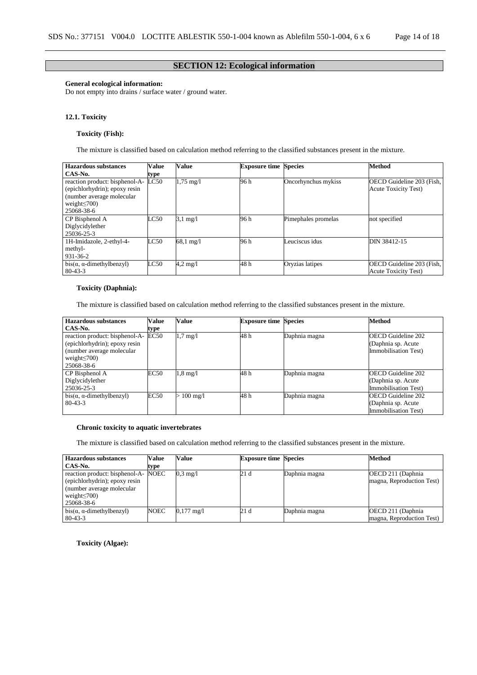## **SECTION 12: Ecological information**

## **General ecological information:**

Do not empty into drains / surface water / ground water.

### **12.1. Toxicity**

## **Toxicity (Fish):**

The mixture is classified based on calculation method referring to the classified substances present in the mixture.

| <b>Hazardous substances</b>           | <b>Value</b> | Value               | <b>Exposure time Species</b> |                     | <b>Method</b>               |
|---------------------------------------|--------------|---------------------|------------------------------|---------------------|-----------------------------|
| CAS-No.                               | type         |                     |                              |                     |                             |
| reaction product: bisphenol-A-        | LC50         | $1,75 \text{ mg}/1$ | 96 h                         | Oncorhynchus mykiss | OECD Guideline 203 (Fish,   |
| (epichlorhydrin); epoxy resin         |              |                     |                              |                     | <b>Acute Toxicity Test)</b> |
| (number average molecular             |              |                     |                              |                     |                             |
| weight $\leq$ 700)                    |              |                     |                              |                     |                             |
| 25068-38-6                            |              |                     |                              |                     |                             |
| CP Bisphenol A                        | LC50         | $3.1 \text{ mg}/1$  | 96 h                         | Pimephales promelas | not specified               |
| Diglycidylether                       |              |                     |                              |                     |                             |
| 25036-25-3                            |              |                     |                              |                     |                             |
| 1H-Imidazole, 2-ethyl-4-              | LC50         | $68.1 \text{ mg}/1$ | 96 h                         | Leuciscus idus      | DIN 38412-15                |
| methyl-                               |              |                     |                              |                     |                             |
| 931-36-2                              |              |                     |                              |                     |                             |
| $bis(\alpha, \alpha$ -dimethylbenzyl) | LC50         | $4.2 \text{ mg}/1$  | 48 h                         | Oryzias latipes     | OECD Guideline 203 (Fish,   |
| $80 - 43 - 3$                         |              |                     |                              |                     | <b>Acute Toxicity Test)</b> |

### **Toxicity (Daphnia):**

The mixture is classified based on calculation method referring to the classified substances present in the mixture.

| <b>Hazardous substances</b>                                                                                                       | Value       | Value              | <b>Exposure time Species</b> |               | <b>Method</b>                                                           |
|-----------------------------------------------------------------------------------------------------------------------------------|-------------|--------------------|------------------------------|---------------|-------------------------------------------------------------------------|
| CAS-No.                                                                                                                           | type        |                    |                              |               |                                                                         |
| reaction product: bisphenol-A-<br>(epichlorhydrin); epoxy resin<br>(number average molecular)<br>weight $\leq$ 700)<br>25068-38-6 | EC50        | $1.7 \text{ mg}/1$ | 48 h                         | Daphnia magna | <b>OECD</b> Guideline 202<br>(Daphnia sp. Acute<br>Immobilisation Test) |
| CP Bisphenol A                                                                                                                    | <b>EC50</b> | $1.8 \text{ mg}/1$ | 48 h                         | Daphnia magna | <b>OECD Guideline 202</b>                                               |
| Diglycidylether                                                                                                                   |             |                    |                              |               | (Daphnia sp. Acute                                                      |
| 25036-25-3                                                                                                                        |             |                    |                              |               | Immobilisation Test)                                                    |
| $bis(\alpha, \alpha$ -dimethylbenzyl)                                                                                             | EC50        | $\cdot 100$ mg/l   | 48 h                         | Daphnia magna | <b>OECD Guideline 202</b>                                               |
| $80 - 43 - 3$                                                                                                                     |             |                    |                              |               | (Daphnia sp. Acute                                                      |
|                                                                                                                                   |             |                    |                              |               | Immobilisation Test)                                                    |

#### **Chronic toxicity to aquatic invertebrates**

The mixture is classified based on calculation method referring to the classified substances present in the mixture.

| <b>Hazardous substances</b>           | <b>Value</b> | Value                | <b>Exposure time Species</b> |               | <b>Method</b>             |
|---------------------------------------|--------------|----------------------|------------------------------|---------------|---------------------------|
| CAS-No.                               | type         |                      |                              |               |                           |
| reaction product: bisphenol-A-        | <b>NOEC</b>  | $0.3 \text{ mg}/1$   | 21 d                         | Daphnia magna | OECD 211 (Daphnia)        |
| (epichlorhydrin); epoxy resin         |              |                      |                              |               | magna, Reproduction Test) |
| (number average molecular)            |              |                      |                              |               |                           |
| weight $\leq$ 700)                    |              |                      |                              |               |                           |
| 25068-38-6                            |              |                      |                              |               |                           |
| $bis(\alpha, \alpha$ -dimethylbenzyl) | <b>NOEC</b>  | $0,177 \text{ mg}/1$ | 21 d                         | Daphnia magna | OECD 211 (Daphnia)        |
| $80 - 43 - 3$                         |              |                      |                              |               | magna, Reproduction Test) |

**Toxicity (Algae):**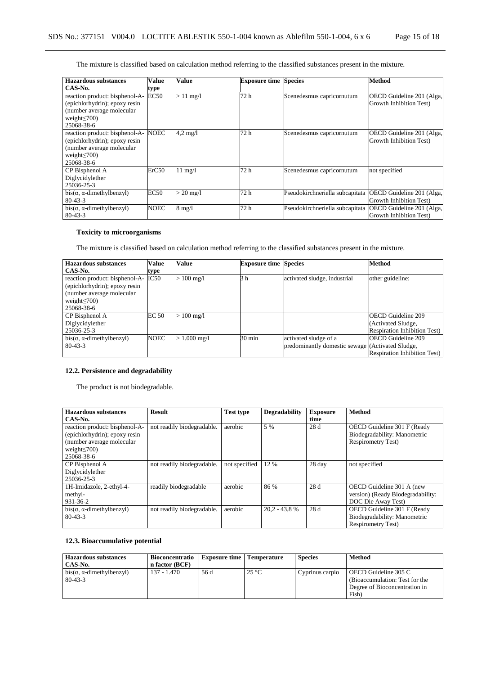The mixture is classified based on calculation method referring to the classified substances present in the mixture.

| <b>Hazardous</b> substances                                                                                                      | Value       | Value              | <b>Exposure time Species</b> |                                 | <b>Method</b>                                        |
|----------------------------------------------------------------------------------------------------------------------------------|-------------|--------------------|------------------------------|---------------------------------|------------------------------------------------------|
| CAS-No.                                                                                                                          | type        |                    |                              |                                 |                                                      |
| reaction product: bisphenol-A-<br>(epichlorhydrin); epoxy resin<br>(number average molecular<br>weight $\leq$ 700)<br>25068-38-6 | EC50        | $>11 \text{ mg/l}$ | 72 h                         | Scenedesmus capricornutum       | OECD Guideline 201 (Alga,<br>Growth Inhibition Test) |
| reaction product: bisphenol-A-<br>(epichlorhydrin); epoxy resin<br>(number average molecular<br>weight $\leq$ 700)<br>25068-38-6 | NOEC        | $4.2 \text{ mg}/1$ | 72 h                         | Scenedesmus capricornutum       | OECD Guideline 201 (Alga,<br>Growth Inhibition Test) |
| CP Bisphenol A<br>Diglycidylether<br>25036-25-3                                                                                  | ErC50       | $11 \text{ mg}/1$  | 72 h                         | Scenedesmus capricornutum       | not specified                                        |
| $bis(\alpha, \alpha$ -dimethylbenzyl)<br>$80 - 43 - 3$                                                                           | <b>EC50</b> | $\cdot$ 20 mg/l    | 72 h                         | Pseudokirchneriella subcapitata | OECD Guideline 201 (Alga,<br>Growth Inhibition Test) |
| $bis(\alpha, \alpha$ -dimethylbenzyl)<br>$80 - 43 - 3$                                                                           | <b>NOEC</b> | $8 \text{ mg}/1$   | 72 h                         | Pseudokirchneriella subcapitata | OECD Guideline 201 (Alga,<br>Growth Inhibition Test) |

## **Toxicity to microorganisms**

The mixture is classified based on calculation method referring to the classified substances present in the mixture.

| <b>Hazardous substances</b>           | Value        | Value                | <b>Exposure time Species</b> |                                                  | <b>Method</b>                       |
|---------------------------------------|--------------|----------------------|------------------------------|--------------------------------------------------|-------------------------------------|
| CAS-No.                               | type         |                      |                              |                                                  |                                     |
| reaction product: bisphenol-A-        | IC50         | $> 100$ mg/l         | 3h                           | activated sludge, industrial                     | other guideline:                    |
| (epichlorhydrin); epoxy resin         |              |                      |                              |                                                  |                                     |
| (number average molecular             |              |                      |                              |                                                  |                                     |
| weight $\leq$ 700)                    |              |                      |                              |                                                  |                                     |
| 25068-38-6                            |              |                      |                              |                                                  |                                     |
| CP Bisphenol A                        | <b>EC 50</b> | $100 \text{ mg/l}$   |                              |                                                  | <b>OECD</b> Guideline 209           |
| Diglycidylether                       |              |                      |                              |                                                  | (Activated Sludge,                  |
| 25036-25-3                            |              |                      |                              |                                                  | <b>Respiration Inhibition Test)</b> |
| $bis(\alpha, \alpha$ -dimethylbenzyl) | <b>NOEC</b>  | $1.000 \text{ mg/l}$ | $30 \text{ min}$             | activated sludge of a                            | <b>OECD</b> Guideline 209           |
| $80 - 43 - 3$                         |              |                      |                              | predominantly domestic sewage (Activated Sludge, |                                     |
|                                       |              |                      |                              |                                                  | <b>Respiration Inhibition Test)</b> |

## **12.2. Persistence and degradability**

The product is not biodegradable.

| <b>Hazardous substances</b>           | <b>Result</b>              | <b>Test type</b> | <b>Degradability</b> | <b>Exposure</b> | <b>Method</b>                     |
|---------------------------------------|----------------------------|------------------|----------------------|-----------------|-----------------------------------|
| CAS-No.                               |                            |                  |                      | time            |                                   |
| reaction product: bisphenol-A-        | not readily biodegradable. | aerobic          | 5 %                  | 28 d            | OECD Guideline 301 F (Ready       |
| (epichlorhydrin); epoxy resin         |                            |                  |                      |                 | Biodegradability: Manometric      |
| (number average molecular             |                            |                  |                      |                 | <b>Respirometry Test)</b>         |
| weight $\leq$ 700)                    |                            |                  |                      |                 |                                   |
| 25068-38-6                            |                            |                  |                      |                 |                                   |
| CP Bisphenol A                        | not readily biodegradable. | not specified    | 12 %                 | 28 day          | not specified                     |
| Diglycidylether                       |                            |                  |                      |                 |                                   |
| 25036-25-3                            |                            |                  |                      |                 |                                   |
| 1H-Imidazole, 2-ethyl-4-              | readily biodegradable      | aerobic          | 86 %                 | 28 d            | OECD Guideline 301 A (new         |
| methyl-                               |                            |                  |                      |                 | version) (Ready Biodegradability: |
| 931-36-2                              |                            |                  |                      |                 | DOC Die Away Test)                |
| $bis(\alpha, \alpha$ -dimethylbenzyl) | not readily biodegradable. | aerobic          | $20.2 - 43.8$ %      | 28 d            | OECD Guideline 301 F (Ready       |
| $80 - 43 - 3$                         |                            |                  |                      |                 | Biodegradability: Manometric      |
|                                       |                            |                  |                      |                 | <b>Respirometry Test)</b>         |

## **12.3. Bioaccumulative potential**

| <b>Hazardous substances</b><br>CAS-No.                 | <b>Bioconcentratio</b><br>n factor (BCF) | <b>Exposure time</b>   Temperature |                | <b>Species</b>  | <b>Method</b>                                                                                    |
|--------------------------------------------------------|------------------------------------------|------------------------------------|----------------|-----------------|--------------------------------------------------------------------------------------------------|
| $bis(\alpha, \alpha$ -dimethylbenzyl)<br>$80 - 43 - 3$ | 137 - 1.470                              | 56 d                               | $25^{\circ}$ C | Cyprinus carpio | OECD Guideline 305 C<br>(Bioaccumulation: Test for the<br>Degree of Bioconcentration in<br>Fish) |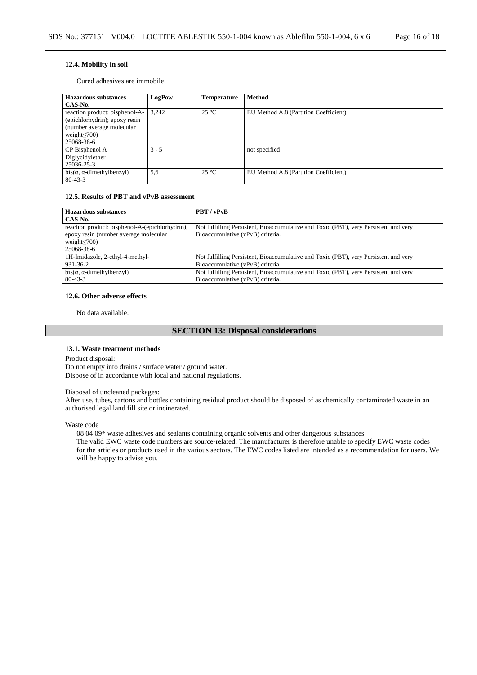### **12.4. Mobility in soil**

Cured adhesives are immobile.

| <b>Hazardous substances</b>           | LogPow  | <b>Temperature</b> | <b>Method</b>                         |
|---------------------------------------|---------|--------------------|---------------------------------------|
| CAS-No.                               |         |                    |                                       |
| reaction product: bisphenol-A-        | 3.242   | $25^{\circ}$ C     | EU Method A.8 (Partition Coefficient) |
| (epichlorhydrin); epoxy resin         |         |                    |                                       |
| (number average molecular)            |         |                    |                                       |
| weight $\leq$ 700)                    |         |                    |                                       |
| 25068-38-6                            |         |                    |                                       |
| CP Bisphenol A                        | $3 - 5$ |                    | not specified                         |
| Diglycidylether                       |         |                    |                                       |
| 25036-25-3                            |         |                    |                                       |
| $bis(\alpha, \alpha$ -dimethylbenzyl) | 5,6     | $25^{\circ}C$      | EU Method A.8 (Partition Coefficient) |
| $80 - 43 - 3$                         |         |                    |                                       |

### **12.5. Results of PBT and vPvB assessment**

| <b>Hazardous substances</b>                     | PBT / vPvB                                                                           |
|-------------------------------------------------|--------------------------------------------------------------------------------------|
| CAS-No.                                         |                                                                                      |
| reaction product: bisphenol-A-(epichlorhydrin); | Not fulfilling Persistent, Bioaccumulative and Toxic (PBT), very Persistent and very |
| epoxy resin (number average molecular           | Bioaccumulative (vPvB) criteria.                                                     |
| weight $\leq$ 700)                              |                                                                                      |
| 25068-38-6                                      |                                                                                      |
| 1H-Imidazole, 2-ethyl-4-methyl-                 | Not fulfilling Persistent, Bioaccumulative and Toxic (PBT), very Persistent and very |
| 931-36-2                                        | Bioaccumulative (vPvB) criteria.                                                     |
| $bis(\alpha, \alpha$ -dimethylbenzyl)           | Not fulfilling Persistent, Bioaccumulative and Toxic (PBT), very Persistent and very |
| $80 - 43 - 3$                                   | Bioaccumulative (vPvB) criteria.                                                     |

#### **12.6. Other adverse effects**

No data available.

## **SECTION 13: Disposal considerations**

#### **13.1. Waste treatment methods**

Product disposal:

Do not empty into drains / surface water / ground water. Dispose of in accordance with local and national regulations.

#### Disposal of uncleaned packages:

After use, tubes, cartons and bottles containing residual product should be disposed of as chemically contaminated waste in an authorised legal land fill site or incinerated.

Waste code

08 04 09\* waste adhesives and sealants containing organic solvents and other dangerous substances

The valid EWC waste code numbers are source-related. The manufacturer is therefore unable to specify EWC waste codes for the articles or products used in the various sectors. The EWC codes listed are intended as a recommendation for users. We will be happy to advise you.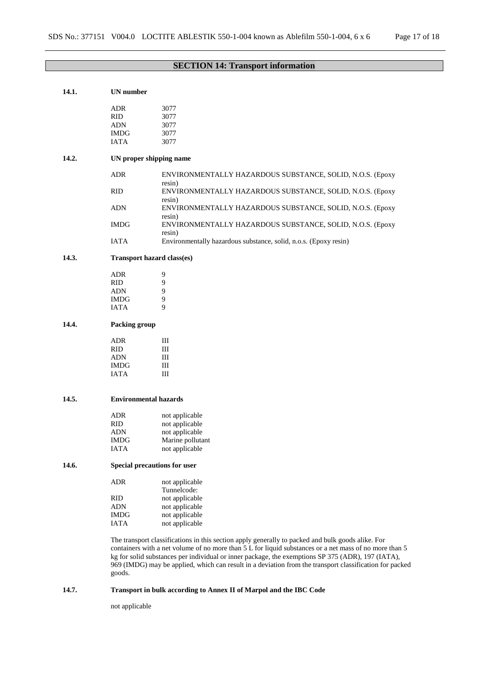# **SECTION 14: Transport information**

| 14.1. | <b>UN</b> number                  |                                                                                                                                                                                                              |  |  |  |
|-------|-----------------------------------|--------------------------------------------------------------------------------------------------------------------------------------------------------------------------------------------------------------|--|--|--|
|       | <b>ADR</b>                        | 3077                                                                                                                                                                                                         |  |  |  |
|       | <b>RID</b>                        | 3077                                                                                                                                                                                                         |  |  |  |
|       | <b>ADN</b>                        | 3077                                                                                                                                                                                                         |  |  |  |
|       | <b>IMDG</b>                       | 3077                                                                                                                                                                                                         |  |  |  |
|       | <b>IATA</b>                       | 3077                                                                                                                                                                                                         |  |  |  |
| 14.2. | UN proper shipping name           |                                                                                                                                                                                                              |  |  |  |
|       |                                   |                                                                                                                                                                                                              |  |  |  |
|       | <b>ADR</b>                        | ENVIRONMENTALLY HAZARDOUS SUBSTANCE, SOLID, N.O.S. (Epoxy<br>resin)                                                                                                                                          |  |  |  |
|       | <b>RID</b>                        | ENVIRONMENTALLY HAZARDOUS SUBSTANCE, SOLID, N.O.S. (Epoxy<br>resin)                                                                                                                                          |  |  |  |
|       | <b>ADN</b>                        | ENVIRONMENTALLY HAZARDOUS SUBSTANCE, SOLID, N.O.S. (Epoxy<br>resin)                                                                                                                                          |  |  |  |
|       | <b>IMDG</b>                       | ENVIRONMENTALLY HAZARDOUS SUBSTANCE, SOLID, N.O.S. (Epoxy<br>resin)                                                                                                                                          |  |  |  |
|       | <b>IATA</b>                       | Environmentally hazardous substance, solid, n.o.s. (Epoxy resin)                                                                                                                                             |  |  |  |
| 14.3. | <b>Transport hazard class(es)</b> |                                                                                                                                                                                                              |  |  |  |
|       | <b>ADR</b>                        | 9                                                                                                                                                                                                            |  |  |  |
|       | <b>RID</b>                        | 9                                                                                                                                                                                                            |  |  |  |
|       | <b>ADN</b>                        | 9                                                                                                                                                                                                            |  |  |  |
|       | <b>IMDG</b>                       | 9                                                                                                                                                                                                            |  |  |  |
|       | <b>IATA</b>                       | 9                                                                                                                                                                                                            |  |  |  |
| 14.4. | Packing group                     |                                                                                                                                                                                                              |  |  |  |
|       | <b>ADR</b>                        | Ш                                                                                                                                                                                                            |  |  |  |
|       | <b>RID</b>                        | Ш                                                                                                                                                                                                            |  |  |  |
|       | <b>ADN</b>                        | Ш                                                                                                                                                                                                            |  |  |  |
|       | <b>IMDG</b>                       | Ш                                                                                                                                                                                                            |  |  |  |
|       | <b>IATA</b>                       | Ш                                                                                                                                                                                                            |  |  |  |
| 14.5. |                                   | <b>Environmental hazards</b>                                                                                                                                                                                 |  |  |  |
|       |                                   |                                                                                                                                                                                                              |  |  |  |
|       | <b>ADR</b>                        | not applicable                                                                                                                                                                                               |  |  |  |
|       | <b>RID</b>                        | not applicable                                                                                                                                                                                               |  |  |  |
|       | <b>ADN</b>                        | not applicable                                                                                                                                                                                               |  |  |  |
|       | <b>IMDG</b><br><b>IATA</b>        | Marine pollutant<br>not applicable                                                                                                                                                                           |  |  |  |
|       |                                   |                                                                                                                                                                                                              |  |  |  |
| 14.6. |                                   | Special precautions for user                                                                                                                                                                                 |  |  |  |
|       | <b>ADR</b>                        | not applicable                                                                                                                                                                                               |  |  |  |
|       |                                   | Tunnelcode:                                                                                                                                                                                                  |  |  |  |
|       | <b>RID</b>                        | not applicable                                                                                                                                                                                               |  |  |  |
|       | <b>ADN</b>                        | not applicable                                                                                                                                                                                               |  |  |  |
|       | <b>IMDG</b>                       | not applicable                                                                                                                                                                                               |  |  |  |
|       | <b>IATA</b>                       | not applicable                                                                                                                                                                                               |  |  |  |
|       |                                   | The transport classifications in this section apply generally to packed and bulk goods alike. For<br>containers with a net volume of no more than 5 L for liquid substances or a net mass of no more than 5  |  |  |  |
|       |                                   | kg for solid substances per individual or inner package, the exemptions SP 375 (ADR), 197 (IATA),<br>969 (IMDG) may be applied, which can result in a deviation from the transport classification for packed |  |  |  |
|       | goods.                            |                                                                                                                                                                                                              |  |  |  |

## **14.7. Transport in bulk according to Annex II of Marpol and the IBC Code**

not applicable